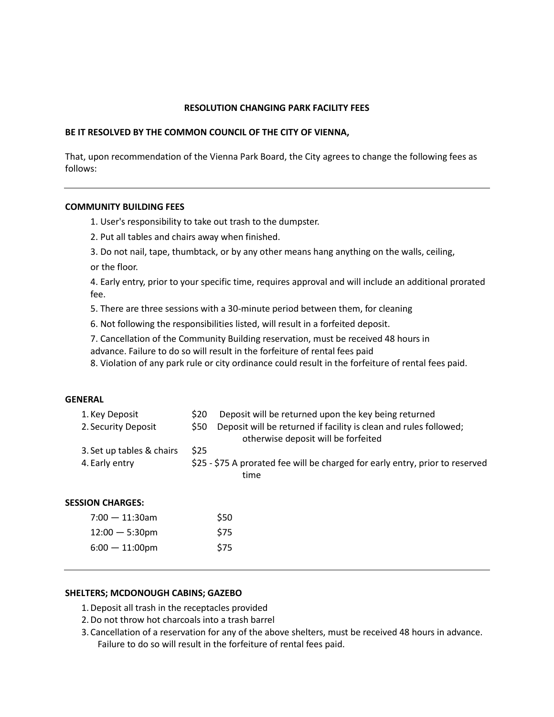## **RESOLUTION CHANGING PARK FACILITY FEES**

#### **BE IT RESOLVED BY THE COMMON COUNCIL OF THE CITY OF VIENNA,**

That, upon recommendation of the Vienna Park Board, the City agrees to change the following fees as follows:

## **COMMUNITY BUILDING FEES**

1. User's responsibility to take out trash to the dumpster.

- 2. Put all tables and chairs away when finished.
- 3. Do not nail, tape, thumbtack, or by any other means hang anything on the walls, ceiling,

or the floor.

4. Early entry, prior to your specific time, requires approval and will include an additional prorated fee.

5. There are three sessions with a 30-minute period between them, for cleaning

- 6. Not following the responsibilities listed, will result in a forfeited deposit.
- 7. Cancellation of the Community Building reservation, must be received 48 hours in advance. Failure to do so will result in the forfeiture of rental fees paid

8. Violation of any park rule or city ordinance could result in the forfeiture of rental fees paid.

#### **GENERAL**

| 1. Key Deposit            | \$20 | Deposit will be returned upon the key being returned                                                     |
|---------------------------|------|----------------------------------------------------------------------------------------------------------|
| 2. Security Deposit       | \$50 | Deposit will be returned if facility is clean and rules followed;<br>otherwise deposit will be forfeited |
| 3. Set up tables & chairs | \$25 |                                                                                                          |
| 4. Early entry            |      | \$25 - \$75 A prorated fee will be charged for early entry, prior to reserved<br>time                    |
| <b>SESSION CHARGES:</b>   |      |                                                                                                          |
| $7:00 - 11:30$ am         |      | \$50                                                                                                     |
| $12:00 - 5:30$ pm         |      | \$75                                                                                                     |
| $6:00 - 11:00$ pm         |      | \$75                                                                                                     |

#### **SHELTERS; MCDONOUGH CABINS; GAZEBO**

- 1.Deposit all trash in the receptacles provided
- 2.Do not throw hot charcoals into a trash barrel
- 3. Cancellation of a reservation for any of the above shelters, must be received 48 hours in advance. Failure to do so will result in the forfeiture of rental fees paid.